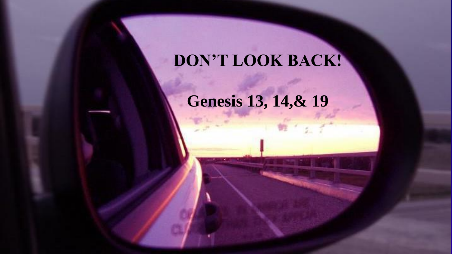### **DON'T LOOK BACK!**

**Genesis 13, 14,& 19**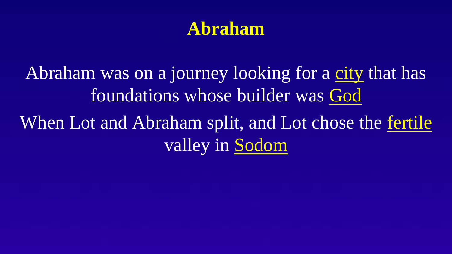#### **Abraham**

Abraham was on a journey looking for a city that has foundations whose builder was God When Lot and Abraham split, and Lot chose the <u>fertile</u> valley in Sodom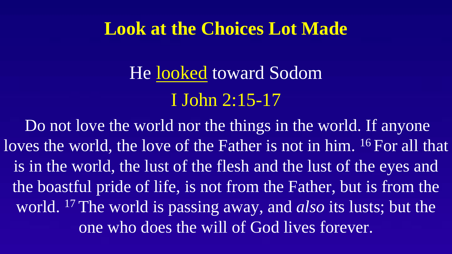#### **Look at the Choices Lot Made**

# He looked toward Sodom I John 2:15-17

Do not love the world nor the things in the world. If anyone loves the world, the love of the Father is not in him. <sup>16</sup> For all that is in the world, the lust of the flesh and the lust of the eyes and the boastful pride of life, is not from the Father, but is from the world. <sup>17</sup> The world is passing away, and *also* its lusts; but the one who does the will of God lives forever.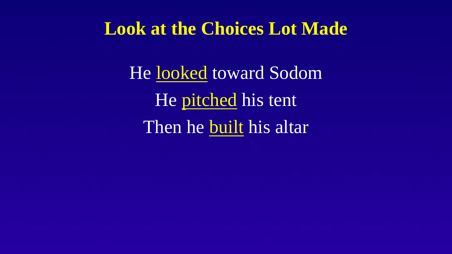#### **Look at the Choices Lot Made**

He looked toward Sodom He pitched his tent Then he built his altar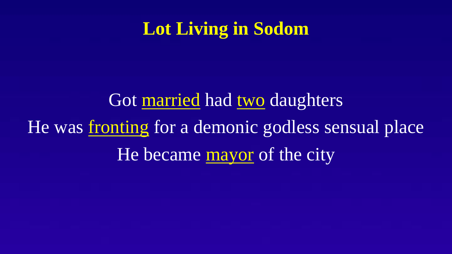### **Lot Living in Sodom**

Got married had two daughters He was fronting for a demonic godless sensual place He became mayor of the city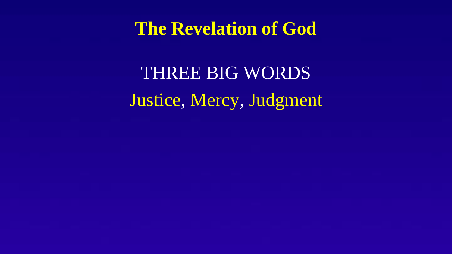#### **The Revelation of God**

THREE BIG WORDS Justice, Mercy, Judgment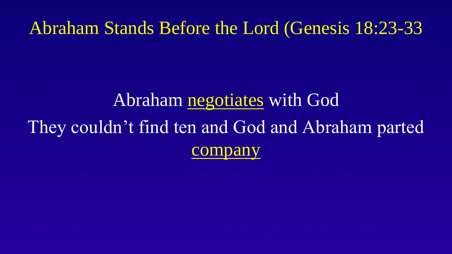#### Abraham Stands Before the Lord (Genesis 18:23-33

## Abraham negotiates with God They couldn't find ten and God and Abraham parted company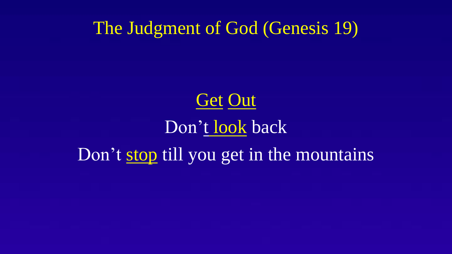The Judgment of God (Genesis 19)



# Don't look back Don't stop till you get in the mountains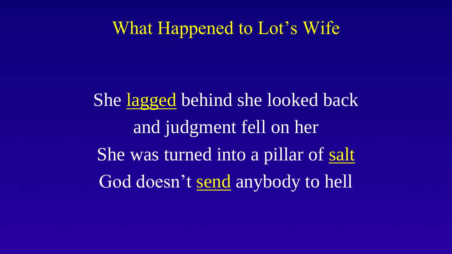#### What Happened to Lot's Wife

She lagged behind she looked back and judgment fell on her She was turned into a pillar of salt God doesn't send anybody to hell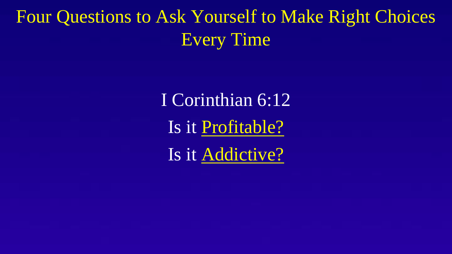### Four Questions to Ask Yourself to Make Right Choices Every Time

I Corinthian 6:12 Is it Profitable? Is it Addictive?